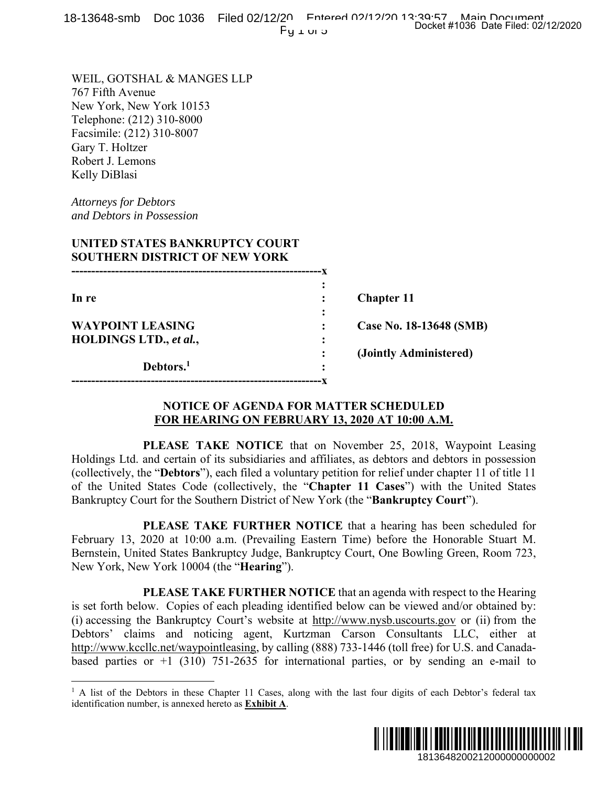18-13648-smb Doc 1036 Filed 02/12/20 Entered 02/12/20 13:39-57 Main Document<br>Docket #1036 Date Filed: 02/12/2020  $Fy \perp w \triangleright z$ 

WEIL, GOTSHAL & MANGES LLP 767 Fifth Avenue New York, New York 10153 Telephone: (212) 310-8000 Facsimile: (212) 310-8007 Gary T. Holtzer Robert J. Lemons Kelly DiBlasi

*Attorneys for Debtors and Debtors in Possession* 

 $\overline{a}$ 

### **UNITED STATES BANKRUPTCY COURT SOUTHERN DISTRICT OF NEW YORK**

| In re                   |   | <b>Chapter 11</b>       |
|-------------------------|---|-------------------------|
|                         | ٠ |                         |
| <b>WAYPOINT LEASING</b> |   | Case No. 18-13648 (SMB) |
| HOLDINGS LTD., et al.,  | ٠ |                         |
|                         |   | (Jointly Administered)  |
| Debtors. <sup>1</sup>   | ٠ |                         |
|                         |   |                         |

## **NOTICE OF AGENDA FOR MATTER SCHEDULED FOR HEARING ON FEBRUARY 13, 2020 AT 10:00 A.M.**

 **PLEASE TAKE NOTICE** that on November 25, 2018, Waypoint Leasing Holdings Ltd. and certain of its subsidiaries and affiliates, as debtors and debtors in possession (collectively, the "**Debtors**"), each filed a voluntary petition for relief under chapter 11 of title 11 of the United States Code (collectively, the "**Chapter 11 Cases**") with the United States Bankruptcy Court for the Southern District of New York (the "**Bankruptcy Court**").

 **PLEASE TAKE FURTHER NOTICE** that a hearing has been scheduled for February 13, 2020 at 10:00 a.m. (Prevailing Eastern Time) before the Honorable Stuart M. Bernstein, United States Bankruptcy Judge, Bankruptcy Court, One Bowling Green, Room 723, New York, New York 10004 (the "**Hearing**").

 **PLEASE TAKE FURTHER NOTICE** that an agenda with respect to the Hearing is set forth below. Copies of each pleading identified below can be viewed and/or obtained by: (i) accessing the Bankruptcy Court's website at http://www.nysb.uscourts.gov or (ii) from the Debtors' claims and noticing agent, Kurtzman Carson Consultants LLC, either at http://www.kccllc.net/waypointleasing, by calling (888) 733-1446 (toll free) for U.S. and Canadabased parties or  $+1$  (310) 751-2635 for international parties, or by sending an e-mail to 1913648 (SMB)<br>
1913648 (SMB)<br>
1913648 (SMB)<br>
2018, Waypoint Leasing<br>
2018, Waypoint Leasing<br>
2018, Waypoint Leasing<br>
2018, Waypoint Leasing<br>
2018 Moreon procession<br>
2018 Order Chief Chief Chief Muslim Control of the Honor

<sup>&</sup>lt;sup>1</sup> A list of the Debtors in these Chapter 11 Cases, along with the last four digits of each Debtor's federal tax identification number, is annexed hereto as **Exhibit A**.

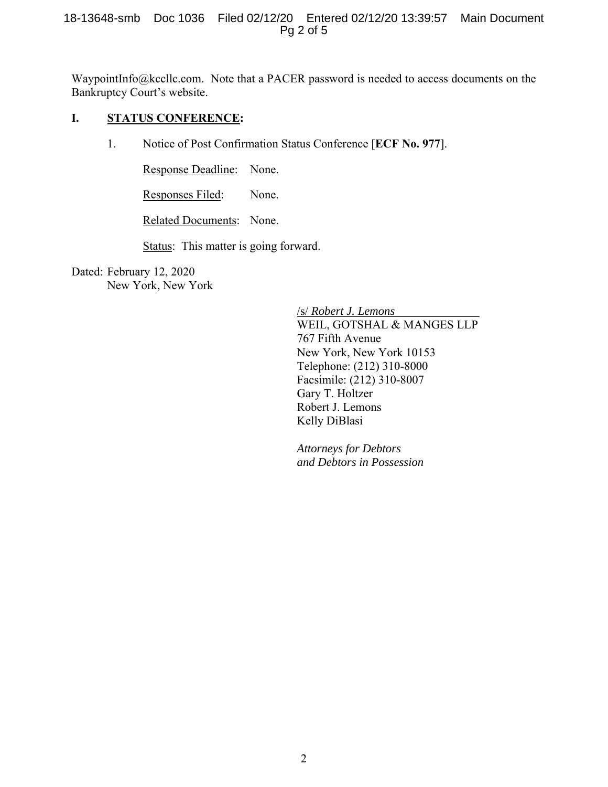WaypointInfo@kccllc.com. Note that a PACER password is needed to access documents on the Bankruptcy Court's website.

### **I. STATUS CONFERENCE:**

1. Notice of Post Confirmation Status Conference [**ECF No. 977**].

Response Deadline: None.

Responses Filed: None.

Related Documents: None.

Status: This matter is going forward.

Dated: February 12, 2020 New York, New York

> /s/ *Robert J. Lemons* WEIL, GOTSHAL & MANGES LLP 767 Fifth Avenue New York, New York 10153 Telephone: (212) 310-8000 Facsimile: (212) 310-8007 Gary T. Holtzer Robert J. Lemons Kelly DiBlasi

*Attorneys for Debtors and Debtors in Possession*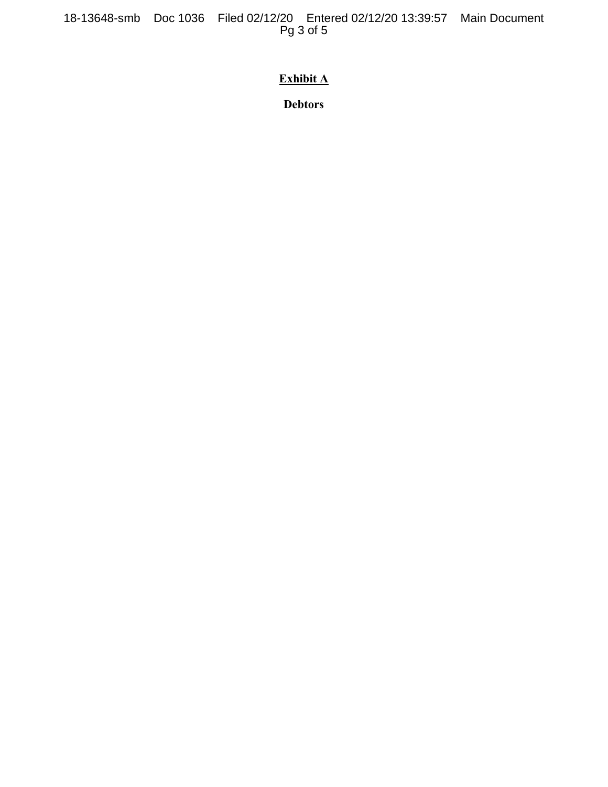18-13648-smb Doc 1036 Filed 02/12/20 Entered 02/12/20 13:39:57 Main Document Pg 3 of 5

# **Exhibit A**

**Debtors**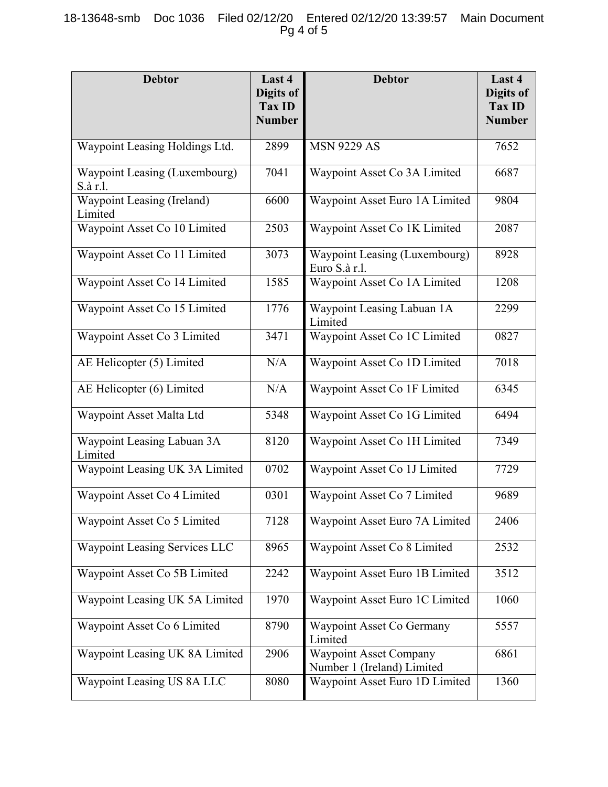## 18-13648-smb Doc 1036 Filed 02/12/20 Entered 02/12/20 13:39:57 Main Document Pg 4 of 5

| <b>Debtor</b>                             | Last 4<br>Digits of<br>Tax ID<br><b>Number</b> | <b>Debtor</b>                                               | Last 4<br><b>Digits of</b><br><b>Tax ID</b><br><b>Number</b> |
|-------------------------------------------|------------------------------------------------|-------------------------------------------------------------|--------------------------------------------------------------|
| Waypoint Leasing Holdings Ltd.            | 2899                                           | <b>MSN 9229 AS</b>                                          | 7652                                                         |
| Waypoint Leasing (Luxembourg)<br>S.à r.l. | 7041                                           | Waypoint Asset Co 3A Limited                                | 6687                                                         |
| Waypoint Leasing (Ireland)<br>Limited     | 6600                                           | Waypoint Asset Euro 1A Limited                              | 9804                                                         |
| Waypoint Asset Co 10 Limited              | 2503                                           | Waypoint Asset Co 1K Limited                                | 2087                                                         |
| Waypoint Asset Co 11 Limited              | 3073                                           | Waypoint Leasing (Luxembourg)<br>Euro S.à r.l.              | 8928                                                         |
| Waypoint Asset Co 14 Limited              | 1585                                           | Waypoint Asset Co 1A Limited                                | 1208                                                         |
| Waypoint Asset Co 15 Limited              | 1776                                           | Waypoint Leasing Labuan 1A<br>Limited                       | 2299                                                         |
| Waypoint Asset Co 3 Limited               | 3471                                           | Waypoint Asset Co 1C Limited                                | 0827                                                         |
| AE Helicopter (5) Limited                 | N/A                                            | Waypoint Asset Co 1D Limited                                | 7018                                                         |
| AE Helicopter (6) Limited                 | N/A                                            | Waypoint Asset Co 1F Limited                                | 6345                                                         |
| Waypoint Asset Malta Ltd                  | 5348                                           | Waypoint Asset Co 1G Limited                                | 6494                                                         |
| Waypoint Leasing Labuan 3A<br>Limited     | 8120                                           | Waypoint Asset Co 1H Limited                                | 7349                                                         |
| Waypoint Leasing UK 3A Limited            | 0702                                           | Waypoint Asset Co 1J Limited                                | 7729                                                         |
| Waypoint Asset Co 4 Limited               | 0301                                           | Waypoint Asset Co 7 Limited                                 | 9689                                                         |
| Waypoint Asset Co 5 Limited               | 7128                                           | Waypoint Asset Euro 7A Limited                              | 2406                                                         |
| <b>Waypoint Leasing Services LLC</b>      | 8965                                           | Waypoint Asset Co 8 Limited                                 | 2532                                                         |
| Waypoint Asset Co 5B Limited              | 2242                                           | Waypoint Asset Euro 1B Limited                              | 3512                                                         |
| Waypoint Leasing UK 5A Limited            | 1970                                           | Waypoint Asset Euro 1C Limited                              | 1060                                                         |
| Waypoint Asset Co 6 Limited               | 8790                                           | Waypoint Asset Co Germany<br>Limited                        | 5557                                                         |
| Waypoint Leasing UK 8A Limited            | 2906                                           | <b>Waypoint Asset Company</b><br>Number 1 (Ireland) Limited | 6861                                                         |
| Waypoint Leasing US 8A LLC                | 8080                                           | Waypoint Asset Euro 1D Limited                              | 1360                                                         |